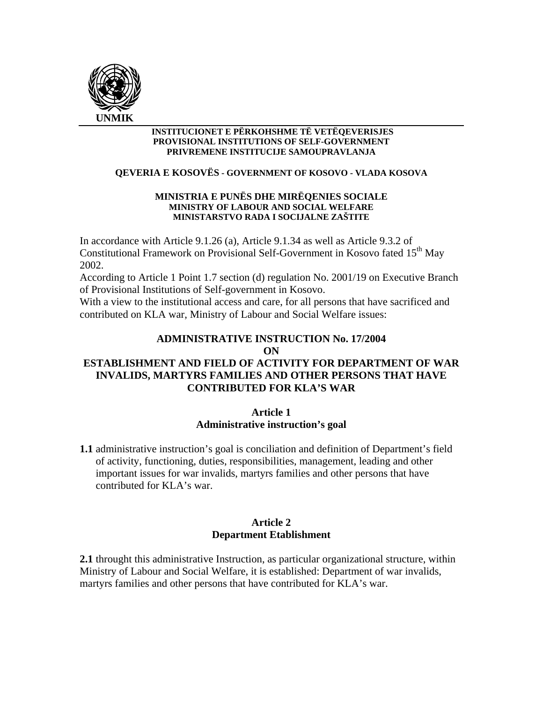

#### **INSTITUCIONET E PËRKOHSHME TË VETËQEVERISJES PROVISIONAL INSTITUTIONS OF SELF-GOVERNMENT PRIVREMENE INSTITUCIJE SAMOUPRAVLANJA**

### **QEVERIA E KOSOVËS - GOVERNMENT OF KOSOVO - VLADA KOSOVA**

#### **MINISTRIA E PUNËS DHE MIRËQENIES SOCIALE MINISTRY OF LABOUR AND SOCIAL WELFARE MINISTARSTVO RADA I SOCIJALNE ZAŠTITE**

In accordance with Article 9.1.26 (a), Article 9.1.34 as well as Article 9.3.2 of Constitutional Framework on Provisional Self-Government in Kosovo fated 15<sup>th</sup> May 2002.

According to Article 1 Point 1.7 section (d) regulation No. 2001/19 on Executive Branch of Provisional Institutions of Self-government in Kosovo.

With a view to the institutional access and care, for all persons that have sacrificed and contributed on KLA war, Ministry of Labour and Social Welfare issues:

# **ADMINISTRATIVE INSTRUCTION No. 17/2004**

#### **ON**

# **ESTABLISHMENT AND FIELD OF ACTIVITY FOR DEPARTMENT OF WAR INVALIDS, MARTYRS FAMILIES AND OTHER PERSONS THAT HAVE CONTRIBUTED FOR KLA'S WAR**

### **Article 1 Administrative instruction's goal**

**1.1** administrative instruction's goal is conciliation and definition of Department's field of activity, functioning, duties, responsibilities, management, leading and other important issues for war invalids, martyrs families and other persons that have contributed for KLA's war.

## **Article 2 Department Etablishment**

**2.1** throught this administrative Instruction, as particular organizational structure, within Ministry of Labour and Social Welfare, it is established: Department of war invalids, martyrs families and other persons that have contributed for KLA's war.